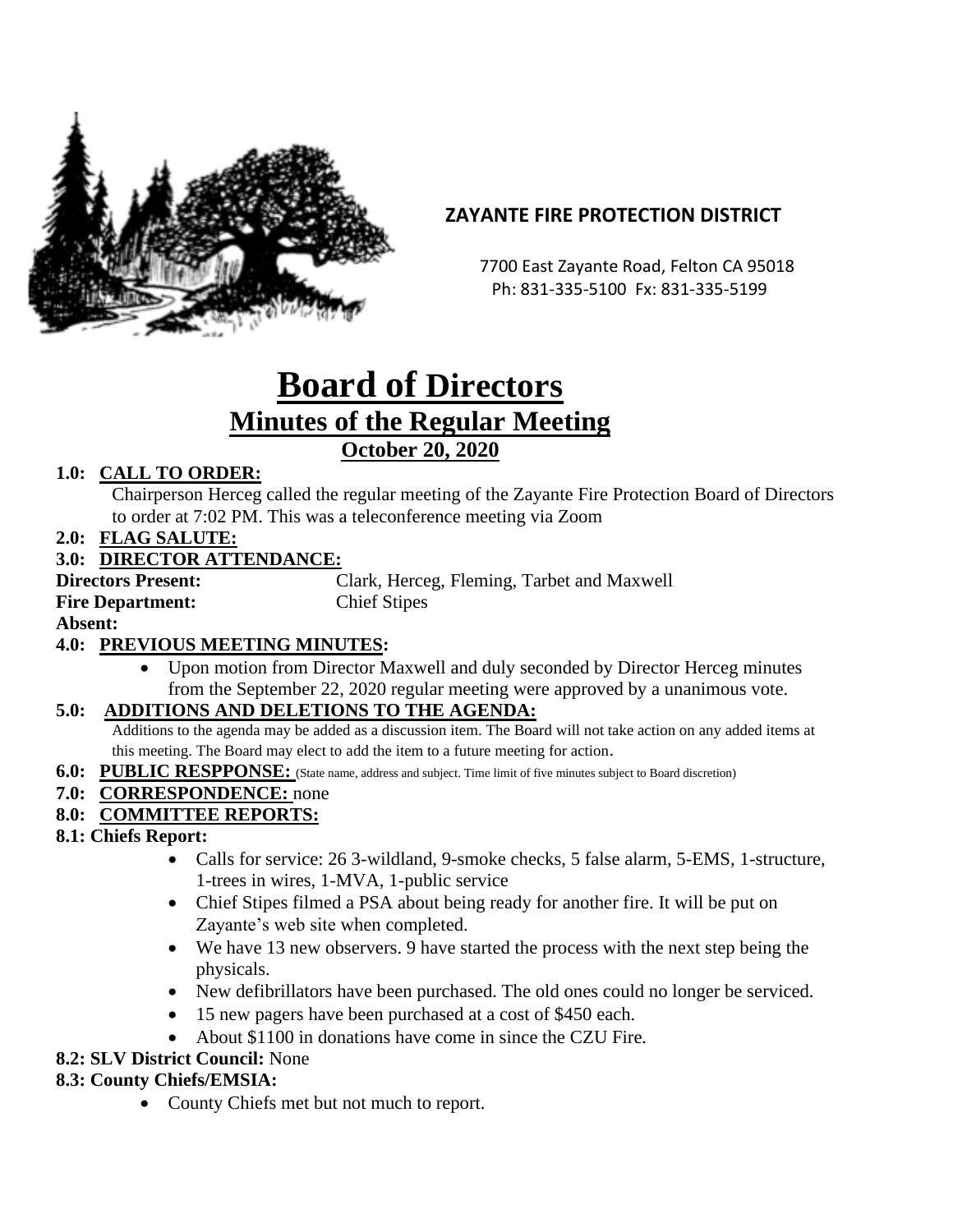

# **ZAYANTE FIRE PROTECTION DISTRICT**

 7700 East Zayante Road, Felton CA 95018 Ph: 831-335-5100 Fx: 831-335-5199

# **Board of Directors Minutes of the Regular Meeting October 20, 2020**

## **1.0: CALL TO ORDER:**

Chairperson Herceg called the regular meeting of the Zayante Fire Protection Board of Directors to order at 7:02 PM. This was a teleconference meeting via Zoom

**2.0: FLAG SALUTE:**

#### **3.0: DIRECTOR ATTENDANCE:**

**Fire Department:** Chief Stipes

**Directors Present:** Clark, Herceg, Fleming, Tarbet and Maxwell

**Absent:** 

# **4.0: PREVIOUS MEETING MINUTES:**

• Upon motion from Director Maxwell and duly seconded by Director Herceg minutes from the September 22, 2020 regular meeting were approved by a unanimous vote.

#### **5.0: ADDITIONS AND DELETIONS TO THE AGENDA:**

Additions to the agenda may be added as a discussion item. The Board will not take action on any added items at this meeting. The Board may elect to add the item to a future meeting for action.

**6.0: PUBLIC RESPPONSE:** (State name, address and subject. Time limit of five minutes subject to Board discretion)

#### **7.0: CORRESPONDENCE:** none

#### **8.0: COMMITTEE REPORTS:**

#### **8.1: Chiefs Report:**

- Calls for service: 26 3-wildland, 9-smoke checks, 5 false alarm, 5-EMS, 1-structure, 1-trees in wires, 1-MVA, 1-public service
- Chief Stipes filmed a PSA about being ready for another fire. It will be put on Zayante's web site when completed.
- We have 13 new observers. 9 have started the process with the next step being the physicals.
- New defibrillators have been purchased. The old ones could no longer be serviced.
- 15 new pagers have been purchased at a cost of \$450 each.
- About \$1100 in donations have come in since the CZU Fire.

#### **8.2: SLV District Council:** None

#### **8.3: County Chiefs/EMSIA:**

• County Chiefs met but not much to report.